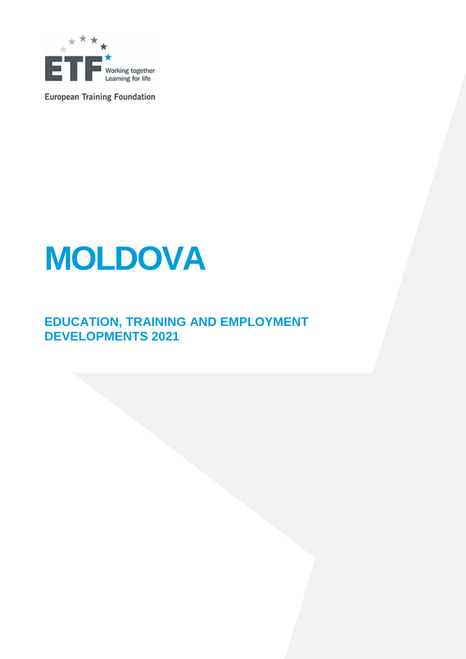

**European Training Foundation** 

# **MOLDOVA**

### **EDUCATION, TRAINING AND EMPLOYMENT DEVELOPMENTS 2021**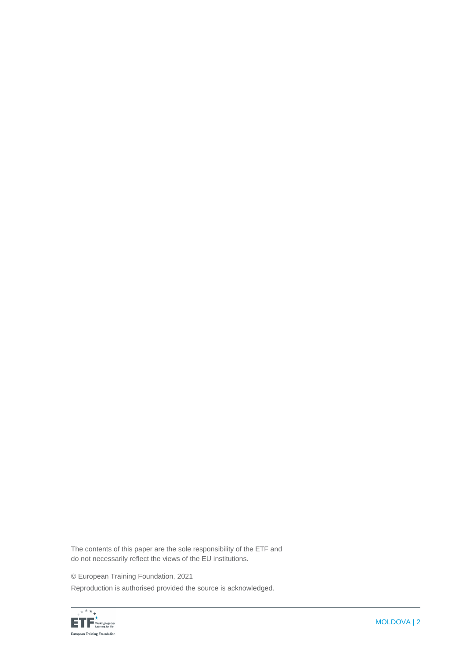The contents of this paper are the sole responsibility of the ETF and do not necessarily reflect the views of the EU institutions.

© European Training Foundation, 2021

Reproduction is authorised provided the source is acknowledged.

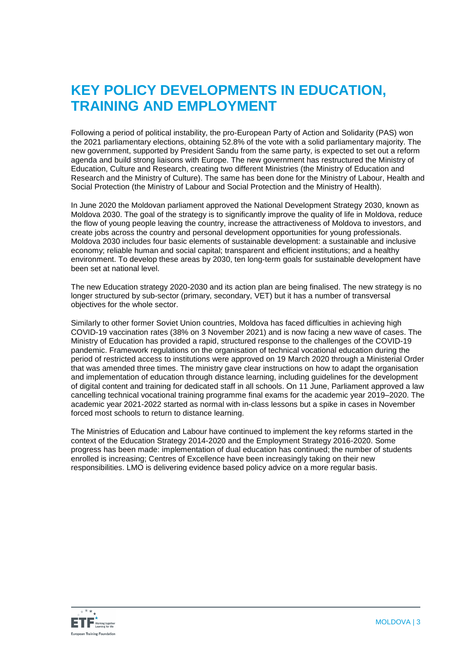### **KEY POLICY DEVELOPMENTS IN EDUCATION, TRAINING AND EMPLOYMENT**

Following a period of political instability, the pro-European [Party of Action and Solidarity](https://en.wikipedia.org/wiki/Party_of_Action_and_Solidarity) (PAS) won the 2021 parliamentary elections, obtaining 52.8% of the vote with a solid parliamentary majority. The new government, supported by President Sandu from the same party, is expected to set out a reform agenda and build strong liaisons with Europe. The new government has restructured the Ministry of Education, Culture and Research, creating two different Ministries (the Ministry of Education and Research and the Ministry of Culture). The same has been done for the Ministry of Labour, Health and Social Protection (the Ministry of Labour and Social Protection and the Ministry of Health).

In June 2020 the Moldovan parliament approved the National Development Strategy 2030, known as Moldova 2030. The goal of the strategy is to significantly improve the quality of life in Moldova, reduce the flow of young people leaving the country, increase the attractiveness of Moldova to investors, and create jobs across the country and personal development opportunities for young professionals. Moldova 2030 includes four basic elements of sustainable development: a sustainable and inclusive economy; reliable human and social capital; transparent and efficient institutions; and a healthy environment. To develop these areas by 2030, ten long-term goals for sustainable development have been set at national level.

The new Education strategy 2020-2030 and its action plan are being finalised. The new strategy is no longer structured by sub-sector (primary, secondary, VET) but it has a number of transversal objectives for the whole sector.

Similarly to other former Soviet Union countries, Moldova has faced difficulties in achieving high COVID-19 vaccination rates (38% on 3 November 2021) and is now facing a new wave of cases. The Ministry of Education has provided a rapid, structured response to the challenges of the COVID-19 pandemic. Framework regulations on the organisation of technical vocational education during the period of restricted access to institutions were approved on 19 March 2020 through a Ministerial Order that was amended three times. The ministry gave clear instructions on how to adapt the organisation and implementation of education through distance learning, including guidelines for the development of digital content and training for dedicated staff in all schools. On 11 June, Parliament approved a law cancelling technical vocational training programme final exams for the academic year 2019–2020. The academic year 2021-2022 started as normal with in-class lessons but a spike in cases in November forced most schools to return to distance learning.

The Ministries of Education and Labour have continued to implement the key reforms started in the context of the Education Strategy 2014-2020 and the Employment Strategy 2016-2020. Some progress has been made: implementation of dual education has continued; the number of students enrolled is increasing; Centres of Excellence have been increasingly taking on their new responsibilities. LMO is delivering evidence based policy advice on a more regular basis.

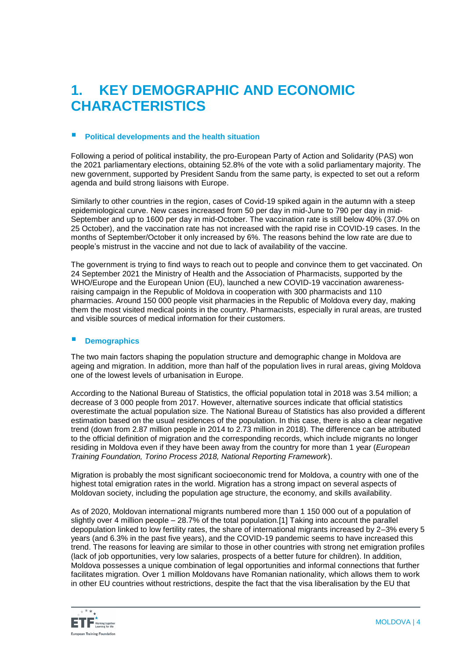### **1. KEY DEMOGRAPHIC AND ECONOMIC CHARACTERISTICS**

### **Political developments and the health situation**

Following a period of political instability, the pro-European [Party of Action and Solidarity](https://en.wikipedia.org/wiki/Party_of_Action_and_Solidarity) (PAS) won the 2021 parliamentary elections, obtaining 52.8% of the vote with a solid parliamentary majority. The new government, supported by President Sandu from the same party, is expected to set out a reform agenda and build strong liaisons with Europe.

Similarly to other countries in the region, cases of Covid-19 spiked again in the autumn with a steep epidemiological curve. New cases increased from 50 per day in mid-June to 790 per day in mid-September and up to 1600 per day in mid-October. The vaccination rate is still below 40% (37.0% on 25 October), and the vaccination rate has not increased with the rapid rise in COVID-19 cases. In the months of September/October it only increased by 6%. The reasons behind the low rate are due to people's mistrust in the vaccine and not due to lack of availability of the vaccine.

The government is trying to find ways to reach out to people and convince them to get vaccinated. On 24 September 2021 the Ministry of Health and the Association of Pharmacists, supported by the WHO/Europe and the European Union (EU), launched a new COVID-19 vaccination awarenessraising campaign in the Republic of Moldova in cooperation with 300 pharmacists and 110 pharmacies. Around 150 000 people visit pharmacies in the Republic of Moldova every day, making them the most visited medical points in the country. Pharmacists, especially in rural areas, are trusted and visible sources of medical information for their customers.

#### **Demographics**

The two main factors shaping the population structure and demographic change in Moldova are ageing and migration. In addition, more than half of the population lives in rural areas, giving Moldova one of the lowest levels of urbanisation in Europe.

According to the National Bureau of Statistics, the official population total in 2018 was 3.54 million; a decrease of 3 000 people from 2017. However, alternative sources indicate that official statistics overestimate the actual population size. The National Bureau of Statistics has also provided a different estimation based on the usual residences of the population. In this case, there is also a clear negative trend (down from 2.87 million people in 2014 to 2.73 million in 2018). The difference can be attributed to the official definition of migration and the corresponding records, which include migrants no longer residing in Moldova even if they have been away from the country for more than 1 year (*European Training Foundation, Torino Process 2018, National Reporting Framework*).

Migration is probably the most significant socioeconomic trend for Moldova, a country with one of the highest total emigration rates in the world. Migration has a strong impact on several aspects of Moldovan society, including the population age structure, the economy, and skills availability.

As of 2020, Moldovan international migrants numbered more than 1 150 000 out of a population of slightly over 4 million people – 28.7% of the total population[.\[1\]](https://euc-word-edit.officeapps.live.com/we/wordeditorframe.aspx?ui=en%2DGB&rs=en%2DUS&wopisrc=https%3A%2F%2Feuropeantrainingfoundation.sharepoint.com%2Fsites%2FImage%2Fmoldova%2F_vti_bin%2Fwopi.ashx%2Ffiles%2Fce76100c1e0b4e568c3f8e6c06a5e922&wdenableroaming=1&mscc=1&hid=ACE2FC9F-6013-3000-68B0-4720EC9B2F13&wdorigin=Other&jsapi=1&jsapiver=v1&newsession=1&corrid=bfe46c87-2626-ff3e-4572-fa269e3ee63f&usid=bfe46c87-2626-ff3e-4572-fa269e3ee63f&sftc=1&mtf=1&sfp=1&instantedit=1&wopicomplete=1&wdredirectionreason=Unified_SingleFlush&preseededsessionkey=4f700450-1652-9656-c5c7-d65588e5ad7d&preseededwacsessionid=bfe46c87-2626-ff3e-4572-fa269e3ee63f&rct=Medium&ctp=LeastProtected#_ftn1) Taking into account the parallel depopulation linked to low fertility rates, the share of international migrants increased by 2–3% every 5 years (and 6.3% in the past five years), and the COVID-19 pandemic seems to have increased this trend. The reasons for leaving are similar to those in other countries with strong net emigration profiles (lack of job opportunities, very low salaries, prospects of a better future for children). In addition, Moldova possesses a unique combination of legal opportunities and informal connections that further facilitates migration. Over 1 million Moldovans have Romanian nationality, which allows them to work in other EU countries without restrictions, despite the fact that the visa liberalisation by the EU that

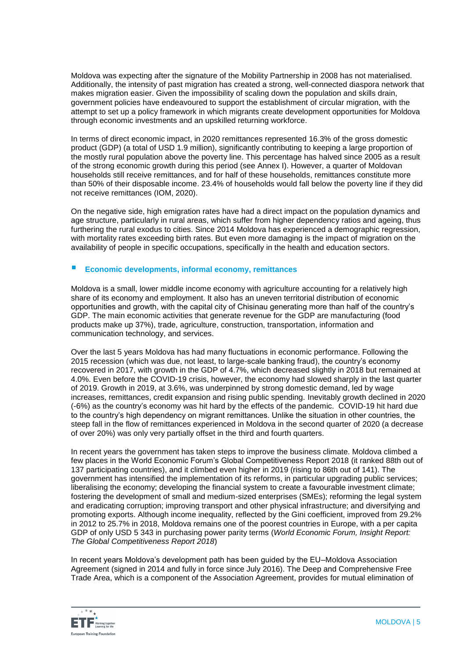Moldova was expecting after the signature of the Mobility Partnership in 2008 has not materialised. Additionally, the intensity of past migration has created a strong, well-connected diaspora network that makes migration easier. Given the impossibility of scaling down the population and skills drain, government policies have endeavoured to support the establishment of circular migration, with the attempt to set up a policy framework in which migrants create development opportunities for Moldova through economic investments and an upskilled returning workforce.

In terms of direct economic impact, in 2020 remittances represented 16.3% of the gross domestic product (GDP) (a total of USD 1.9 million), significantly contributing to keeping a large proportion of the mostly rural population above the poverty line. This percentage has halved since 2005 as a result of the strong economic growth during this period (see Annex I). However, a quarter of Moldovan households still receive remittances, and for half of these households, remittances constitute more than 50% of their disposable income. 23.4% of households would fall below the poverty line if they did not receive remittances (IOM, 2020).

On the negative side, high emigration rates have had a direct impact on the population dynamics and age structure, particularly in rural areas, which suffer from higher dependency ratios and ageing, thus furthering the rural exodus to cities. Since 2014 Moldova has experienced a demographic regression, with mortality rates exceeding birth rates. But even more damaging is the impact of migration on the availability of people in specific occupations, specifically in the health and education sectors.

### **Economic developments, informal economy, remittances**

Moldova is a small, lower middle income economy with agriculture accounting for a relatively high share of its economy and employment. It also has an uneven territorial distribution of economic opportunities and growth, with the capital city of Chisinau generating more than half of the country's GDP. The main economic activities that generate revenue for the GDP are manufacturing (food products make up 37%), trade, agriculture, construction, transportation, information and communication technology, and services.

Over the last 5 years Moldova has had many fluctuations in economic performance. Following the 2015 recession (which was due, not least, to large-scale banking fraud), the country's economy recovered in 2017, with growth in the GDP of 4.7%, which decreased slightly in 2018 but remained at 4.0%. Even before the COVID-19 crisis, however, the economy had slowed sharply in the last quarter of 2019. Growth in 2019, at 3.6%, was underpinned by strong domestic demand, led by wage increases, remittances, credit expansion and rising public spending. Inevitably growth declined in 2020 (-6%) as the country's economy was hit hard by the effects of the pandemic. COVID-19 hit hard due to the country's high dependency on migrant remittances. Unlike the situation in other countries, the steep fall in the flow of remittances experienced in Moldova in the second quarter of 2020 (a decrease of over 20%) was only very partially offset in the third and fourth quarters.

In recent years the government has taken steps to improve the business climate. Moldova climbed a few places in the World Economic Forum's Global Competitiveness Report 2018 (it ranked 88th out of 137 participating countries), and it climbed even higher in 2019 (rising to 86th out of 141). The government has intensified the implementation of its reforms, in particular upgrading public services; liberalising the economy; developing the financial system to create a favourable investment climate; fostering the development of small and medium-sized enterprises (SMEs); reforming the legal system and eradicating corruption; improving transport and other physical infrastructure; and diversifying and promoting exports. Although income inequality, reflected by the Gini coefficient, improved from 29.2% in 2012 to 25.7% in 2018, Moldova remains one of the poorest countries in Europe, with a per capita GDP of only USD 5 343 in purchasing power parity terms (*World Economic Forum, Insight Report: The Global Competitiveness Report 2018*)

In recent years Moldova's development path has been guided by the EU–Moldova Association Agreement (signed in 2014 and fully in force since July 2016). The Deep and Comprehensive Free Trade Area, which is a component of the Association Agreement, provides for mutual elimination of

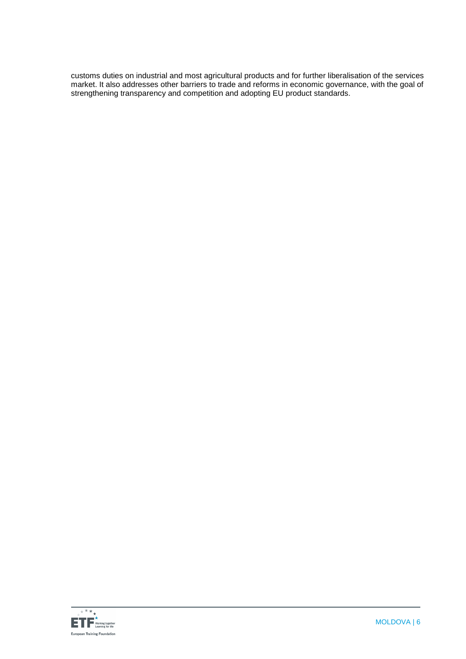customs duties on industrial and most agricultural products and for further liberalisation of the services market. It also addresses other barriers to trade and reforms in economic governance, with the goal of strengthening transparency and competition and adopting EU product standards.

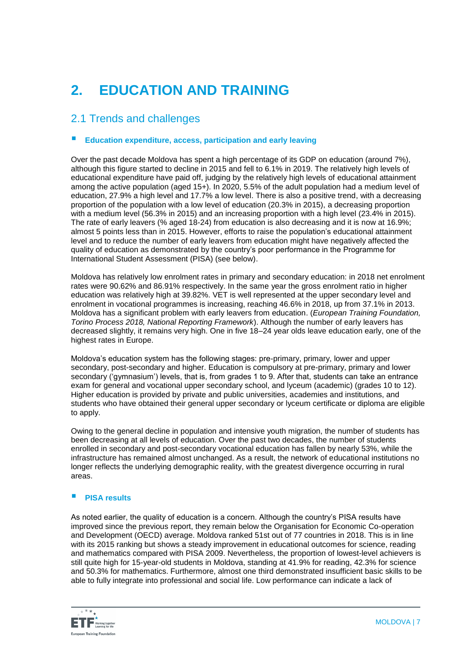# **2. EDUCATION AND TRAINING**

### 2.1 Trends and challenges

### **Education expenditure, access, participation and early leaving**

Over the past decade Moldova has spent a high percentage of its GDP on education (around 7%), although this figure started to decline in 2015 and fell to 6.1% in 2019. The relatively high levels of educational expenditure have paid off, judging by the relatively high levels of educational attainment among the active population (aged 15+). In 2020, 5.5% of the adult population had a medium level of education, 27.9% a high level and 17.7% a low level. There is also a positive trend, with a decreasing proportion of the population with a low level of education (20.3% in 2015), a decreasing proportion with a medium level (56.3% in 2015) and an increasing proportion with a high level (23.4% in 2015). The rate of early leavers (% aged 18-24) from education is also decreasing and it is now at 16.9%; almost 5 points less than in 2015. However, efforts to raise the population's educational attainment level and to reduce the number of early leavers from education might have negatively affected the quality of education as demonstrated by the country's poor performance in the Programme for International Student Assessment (PISA) (see below).

Moldova has relatively low enrolment rates in primary and secondary education: in 2018 net enrolment rates were 90.62% and 86.91% respectively. In the same year the gross enrolment ratio in higher education was relatively high at 39.82%. VET is well represented at the upper secondary level and enrolment in vocational programmes is increasing, reaching 46.6% in 2018, up from 37.1% in 2013. Moldova has a significant problem with early leavers from education. (*European Training Foundation, Torino Process 2018, National Reporting Framework*). Although the number of early leavers has decreased slightly, it remains very high. One in five 18–24 year olds leave education early, one of the highest rates in Europe.

Moldova's education system has the following stages: pre-primary, primary, lower and upper secondary, post-secondary and higher. Education is compulsory at pre-primary, primary and lower secondary ('gymnasium') levels, that is, from grades 1 to 9. After that, students can take an entrance exam for general and vocational upper secondary school, and lyceum (academic) (grades 10 to 12). Higher education is provided by private and public universities, academies and institutions, and students who have obtained their general upper secondary or lyceum certificate or diploma are eligible to apply.

Owing to the general decline in population and intensive youth migration, the number of students has been decreasing at all levels of education. Over the past two decades, the number of students enrolled in secondary and post-secondary vocational education has fallen by nearly 53%, while the infrastructure has remained almost unchanged. As a result, the network of educational institutions no longer reflects the underlying demographic reality, with the greatest divergence occurring in rural areas.

#### **PISA results**

As noted earlier, the quality of education is a concern. Although the country's PISA results have improved since the previous report, they remain below the Organisation for Economic Co-operation and Development (OECD) average. Moldova ranked 51st out of 77 countries in 2018. This is in line with its 2015 ranking but shows a steady improvement in educational outcomes for science, reading and mathematics compared with PISA 2009. Nevertheless, the proportion of lowest-level achievers is still quite high for 15-year-old students in Moldova, standing at 41.9% for reading, 42.3% for science and 50.3% for mathematics. Furthermore, almost one third demonstrated insufficient basic skills to be able to fully integrate into professional and social life. Low performance can indicate a lack of

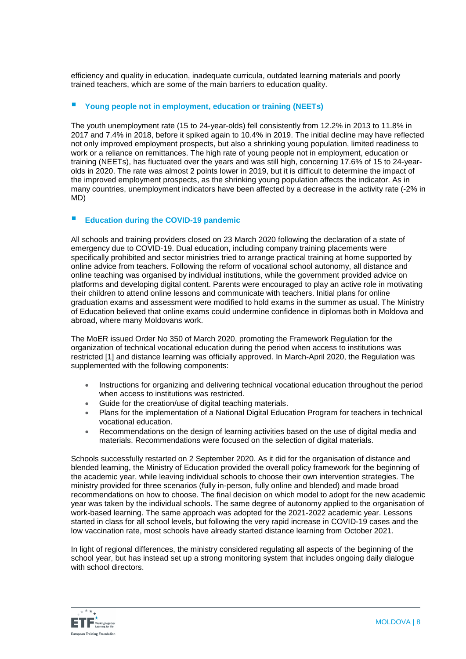efficiency and quality in education, inadequate curricula, outdated learning materials and poorly trained teachers, which are some of the main barriers to education quality.

### **Young people not in employment, education or training (NEETs)**

The youth unemployment rate (15 to 24-year-olds) fell consistently from 12.2% in 2013 to 11.8% in 2017 and 7.4% in 2018, before it spiked again to 10.4% in 2019. The initial decline may have reflected not only improved employment prospects, but also a shrinking young population, limited readiness to work or a reliance on remittances. The high rate of young people not in employment, education or training (NEETs), has fluctuated over the years and was still high, concerning 17.6% of 15 to 24-yearolds in 2020. The rate was almost 2 points lower in 2019, but it is difficult to determine the impact of the improved employment prospects, as the shrinking young population affects the indicator. As in many countries, unemployment indicators have been affected by a decrease in the activity rate (-2% in MD)

### **Education during the COVID-19 pandemic**

All schools and training providers closed on 23 March 2020 following the declaration of a state of emergency due to COVID-19. Dual education, including company training placements were specifically prohibited and sector ministries tried to arrange practical training at home supported by online advice from teachers. Following the reform of vocational school autonomy, all distance and online teaching was organised by individual institutions, while the government provided advice on platforms and developing digital content. Parents were encouraged to play an active role in motivating their children to attend online lessons and communicate with teachers. Initial plans for online graduation exams and assessment were modified to hold exams in the summer as usual. The Ministry of Education believed that online exams could undermine confidence in diplomas both in Moldova and abroad, where many Moldovans work.

The MoER issued Order No 350 of March 2020, promoting the Framework Regulation for the organization of technical vocational education during the period when access to institutions was restricted [\[1\]](https://euc-word-edit.officeapps.live.com/we/wordeditorframe.aspx?ui=en%2DGB&rs=en%2DUS&wopisrc=https%3A%2F%2Feuropeantrainingfoundation.sharepoint.com%2Fsites%2FImage%2Fmoldova%2F_vti_bin%2Fwopi.ashx%2Ffiles%2Fce76100c1e0b4e568c3f8e6c06a5e922&wdenableroaming=1&mscc=1&hid=6FE4FC9F-803E-3000-3721-474804F9DE50&wdorigin=Other&jsapi=1&jsapiver=v1&newsession=1&corrid=aba821b1-f17f-6d58-cbcd-97f1c14fdf44&usid=aba821b1-f17f-6d58-cbcd-97f1c14fdf44&sftc=1&mtf=1&sfp=1&instantedit=1&wopicomplete=1&wdredirectionreason=Unified_SingleFlush&preseededsessionkey=d6756c85-3313-fd72-e41e-ea0e98ba774f&preseededwacsessionid=aba821b1-f17f-6d58-cbcd-97f1c14fdf44&rct=Medium&ctp=LeastProtected#_ftn1) and distance learning was officially approved. In March-April 2020, the Regulation was supplemented with the following components:

- Instructions for organizing and delivering technical vocational education throughout the period when access to institutions was restricted.
- Guide for the creation/use of digital teaching materials.
- Plans for the implementation of a National Digital Education Program for teachers in technical vocational education.
- Recommendations on the design of learning activities based on the use of digital media and materials. Recommendations were focused on the selection of digital materials.

Schools successfully restarted on 2 September 2020. As it did for the organisation of distance and blended learning, the Ministry of Education provided the overall policy framework for the beginning of the academic year, while leaving individual schools to choose their own intervention strategies. The ministry provided for three scenarios (fully in-person, fully online and blended) and made broad recommendations on how to choose. The final decision on which model to adopt for the new academic year was taken by the individual schools. The same degree of autonomy applied to the organisation of work-based learning. The same approach was adopted for the 2021-2022 academic year. Lessons started in class for all school levels, but following the very rapid increase in COVID-19 cases and the low vaccination rate, most schools have already started distance learning from October 2021.

In light of regional differences, the ministry considered regulating all aspects of the beginning of the school year, but has instead set up a strong monitoring system that includes ongoing daily dialogue with school directors.

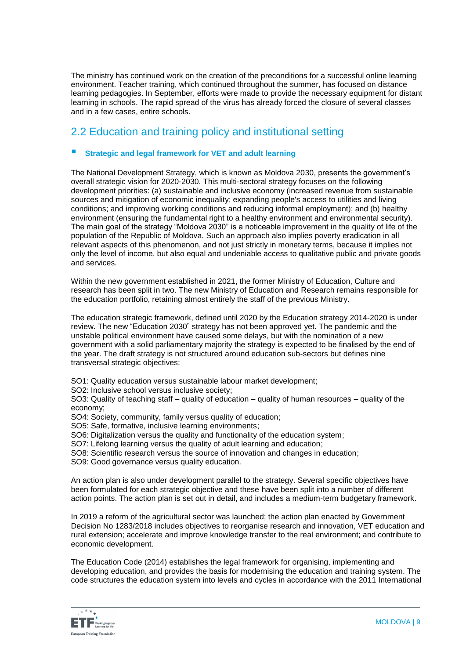The ministry has continued work on the creation of the preconditions for a successful online learning environment. Teacher training, which continued throughout the summer, has focused on distance learning pedagogies. In September, efforts were made to provide the necessary equipment for distant learning in schools. The rapid spread of the virus has already forced the closure of several classes and in a few cases, entire schools.

### 2.2 Education and training policy and institutional setting

### **Strategic and legal framework for VET and adult learning**

The National Development Strategy, which is known as Moldova 2030, presents the government's overall strategic vision for 2020-2030. This multi-sectoral strategy focuses on the following development priorities: (a) sustainable and inclusive economy (increased revenue from sustainable sources and mitigation of economic inequality; expanding people's access to utilities and living conditions; and improving working conditions and reducing informal employment); and (b) healthy environment (ensuring the fundamental right to a healthy environment and environmental security). The main goal of the strategy "Moldova 2030" is a noticeable improvement in the quality of life of the population of the Republic of Moldova. Such an approach also implies poverty eradication in all relevant aspects of this phenomenon, and not just strictly in monetary terms, because it implies not only the level of income, but also equal and undeniable access to qualitative public and private goods and services.

Within the new government established in 2021, the former Ministry of Education, Culture and research has been split in two. The new Ministry of Education and Research remains responsible for the education portfolio, retaining almost entirely the staff of the previous Ministry.

The education strategic framework, defined until 2020 by the Education strategy 2014-2020 is under review. The new "Education 2030" strategy has not been approved yet. The pandemic and the unstable political environment have caused some delays, but with the nomination of a new government with a solid parliamentary majority the strategy is expected to be finalised by the end of the year. The draft strategy is not structured around education sub-sectors but defines nine transversal strategic objectives:

SO1: Quality education versus sustainable labour market development;

SO2: Inclusive school versus inclusive society;

SO3: Quality of teaching staff – quality of education – quality of human resources – quality of the economy;

- SO4: Society, community, family versus quality of education;
- SO5: Safe, formative, inclusive learning environments;
- SO6: Digitalization versus the quality and functionality of the education system;
- SO7: Lifelong learning versus the quality of adult learning and education;
- SO8: Scientific research versus the source of innovation and changes in education;
- SO9: Good governance versus quality education.

An action plan is also under development parallel to the strategy. Several specific objectives have been formulated for each strategic objective and these have been split into a number of different action points. The action plan is set out in detail, and includes a medium-term budgetary framework.

In 2019 a reform of the agricultural sector was launched; the action plan enacted by Government Decision No 1283/2018 includes objectives to reorganise research and innovation, VET education and rural extension; accelerate and improve knowledge transfer to the real environment; and contribute to economic development.

The Education Code (2014) establishes the legal framework for organising, implementing and developing education, and provides the basis for modernising the education and training system. The code structures the education system into levels and cycles in accordance with the 2011 International

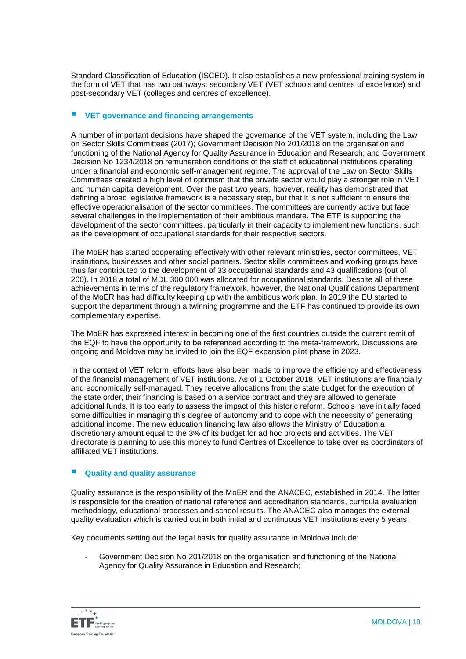Standard Classification of Education (ISCED). It also establishes a new professional training system in the form of VET that has two pathways: secondary VET (VET schools and centres of excellence) and post-secondary VET (colleges and centres of excellence).

### **VET governance and financing arrangements**

A number of important decisions have shaped the governance of the VET system, including the Law on Sector Skills Committees (2017); Government Decision No 201/2018 on the organisation and functioning of the National Agency for Quality Assurance in Education and Research; and Government Decision No 1234/2018 on remuneration conditions of the staff of educational institutions operating under a financial and economic self-management regime. The approval of the Law on Sector Skills Committees created a high level of optimism that the private sector would play a stronger role in VET and human capital development. Over the past two years, however, reality has demonstrated that defining a broad legislative framework is a necessary step, but that it is not sufficient to ensure the effective operationalisation of the sector committees. The committees are currently active but face several challenges in the implementation of their ambitious mandate. The ETF is supporting the development of the sector committees, particularly in their capacity to implement new functions, such as the development of occupational standards for their respective sectors.

The MoER has started cooperating effectively with other relevant ministries, sector committees, VET institutions, businesses and other social partners. Sector skills committees and working groups have thus far contributed to the development of 33 occupational standards and 43 qualifications (out of 200). In 2018 a total of MDL 300 000 was allocated for occupational standards. Despite all of these achievements in terms of the regulatory framework, however, the National Qualifications Department of the MoER has had difficulty keeping up with the ambitious work plan. In 2019 the EU started to support the department through a twinning programme and the ETF has continued to provide its own complementary expertise.

The MoER has expressed interest in becoming one of the first countries outside the current remit of the EQF to have the opportunity to be referenced according to the meta-framework. Discussions are ongoing and Moldova may be invited to join the EQF expansion pilot phase in 2023.

In the context of VET reform, efforts have also been made to improve the efficiency and effectiveness of the financial management of VET institutions. As of 1 October 2018, VET institutions are financially and economically self-managed. They receive allocations from the state budget for the execution of the state order, their financing is based on a service contract and they are allowed to generate additional funds. It is too early to assess the impact of this historic reform. Schools have initially faced some difficulties in managing this degree of autonomy and to cope with the necessity of generating additional income. The new education financing law also allows the Ministry of Education a discretionary amount equal to the 3% of its budget for ad hoc projects and activities. The VET directorate is planning to use this money to fund Centres of Excellence to take over as coordinators of affiliated VET institutions.

### **Quality and quality assurance**

Quality assurance is the responsibility of the MoER and the ANACEC, established in 2014. The latter is responsible for the creation of national reference and accreditation standards, curricula evaluation methodology, educational processes and school results. The ANACEC also manages the external quality evaluation which is carried out in both initial and continuous VET institutions every 5 years.

Key documents setting out the legal basis for quality assurance in Moldova include:

Government Decision No 201/2018 on the organisation and functioning of the National Agency for Quality Assurance in Education and Research;

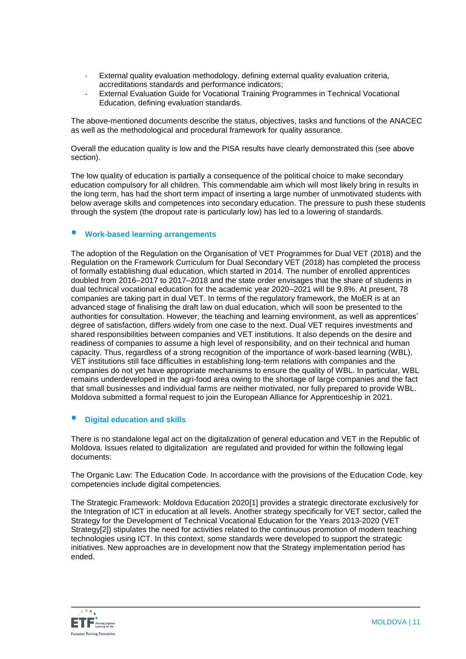- External quality evaluation methodology, defining external quality evaluation criteria, accreditations standards and performance indicators;
- External Evaluation Guide for Vocational Training Programmes in Technical Vocational Education, defining evaluation standards.

The above-mentioned documents describe the status, objectives, tasks and functions of the ANACEC as well as the methodological and procedural framework for quality assurance.

Overall the education quality is low and the PISA results have clearly demonstrated this (see above section).

The low quality of education is partially a consequence of the political choice to make secondary education compulsory for all children. This commendable aim which will most likely bring in results in the long term, has had the short term impact of inserting a large number of unmotivated students with below average skills and competences into secondary education. The pressure to push these students through the system (the dropout rate is particularly low) has led to a lowering of standards.

#### **Work-based learning arrangements**

The adoption of the Regulation on the Organisation of VET Programmes for Dual VET (2018) and the Regulation on the Framework Curriculum for Dual Secondary VET (2018) has completed the process of formally establishing dual education, which started in 2014. The number of enrolled apprentices doubled from 2016–2017 to 2017–2018 and the state order envisages that the share of students in dual technical vocational education for the academic year 2020–2021 will be 9.8%. At present, 78 companies are taking part in dual VET. In terms of the regulatory framework, the MoER is at an advanced stage of finalising the draft law on dual education, which will soon be presented to the authorities for consultation. However, the teaching and learning environment, as well as apprentices' degree of satisfaction, differs widely from one case to the next. Dual VET requires investments and shared responsibilities between companies and VET institutions. It also depends on the desire and readiness of companies to assume a high level of responsibility, and on their technical and human capacity. Thus, regardless of a strong recognition of the importance of work-based learning (WBL), VET institutions still face difficulties in establishing long-term relations with companies and the companies do not yet have appropriate mechanisms to ensure the quality of WBL. In particular, WBL remains underdeveloped in the agri-food area owing to the shortage of large companies and the fact that small businesses and individual farms are neither motivated, nor fully prepared to provide WBL. Moldova submitted a formal request to join the European Alliance for Apprenticeship in 2021.

### **Digital education and skills**

There is no standalone legal act on the digitalization of general education and VET in the Republic of Moldova. Issues related to digitalization are regulated and provided for within the following legal documents:

The Organic Law: The Education Code. In accordance with the provisions of the Education Code, key competencies include digital competencies.

The Strategic Framework: Moldova Education 202[0\[1\]](https://euc-word-edit.officeapps.live.com/we/wordeditorframe.aspx?ui=en%2DGB&rs=en%2DUS&wopisrc=https%3A%2F%2Feuropeantrainingfoundation.sharepoint.com%2Fsites%2FImage%2Fmoldova%2F_vti_bin%2Fwopi.ashx%2Ffiles%2Fce76100c1e0b4e568c3f8e6c06a5e922&wdenableroaming=1&mscc=1&hid=6FE4FC9F-803E-3000-3721-474804F9DE50&wdorigin=Other&jsapi=1&jsapiver=v1&newsession=1&corrid=aba821b1-f17f-6d58-cbcd-97f1c14fdf44&usid=aba821b1-f17f-6d58-cbcd-97f1c14fdf44&sftc=1&mtf=1&sfp=1&instantedit=1&wopicomplete=1&wdredirectionreason=Unified_SingleFlush&preseededsessionkey=d6756c85-3313-fd72-e41e-ea0e98ba774f&preseededwacsessionid=aba821b1-f17f-6d58-cbcd-97f1c14fdf44&rct=Medium&ctp=LeastProtected#_ftn1) provides a strategic directorate exclusively for the Integration of ICT in education at all levels. Another strategy specifically for VET sector, called the Strategy for the Development of Technical Vocational Education for the Years 2013-2020 (VET Strateg[y\[2\]\)](https://euc-word-edit.officeapps.live.com/we/wordeditorframe.aspx?ui=en%2DGB&rs=en%2DUS&wopisrc=https%3A%2F%2Feuropeantrainingfoundation.sharepoint.com%2Fsites%2FImage%2Fmoldova%2F_vti_bin%2Fwopi.ashx%2Ffiles%2Fce76100c1e0b4e568c3f8e6c06a5e922&wdenableroaming=1&mscc=1&hid=6FE4FC9F-803E-3000-3721-474804F9DE50&wdorigin=Other&jsapi=1&jsapiver=v1&newsession=1&corrid=aba821b1-f17f-6d58-cbcd-97f1c14fdf44&usid=aba821b1-f17f-6d58-cbcd-97f1c14fdf44&sftc=1&mtf=1&sfp=1&instantedit=1&wopicomplete=1&wdredirectionreason=Unified_SingleFlush&preseededsessionkey=d6756c85-3313-fd72-e41e-ea0e98ba774f&preseededwacsessionid=aba821b1-f17f-6d58-cbcd-97f1c14fdf44&rct=Medium&ctp=LeastProtected#_ftn2) stipulates the need for activities related to the continuous promotion of modern teaching technologies using ICT. In this context, some standards were developed to support the strategic initiatives. New approaches are in development now that the Strategy implementation period has ended.

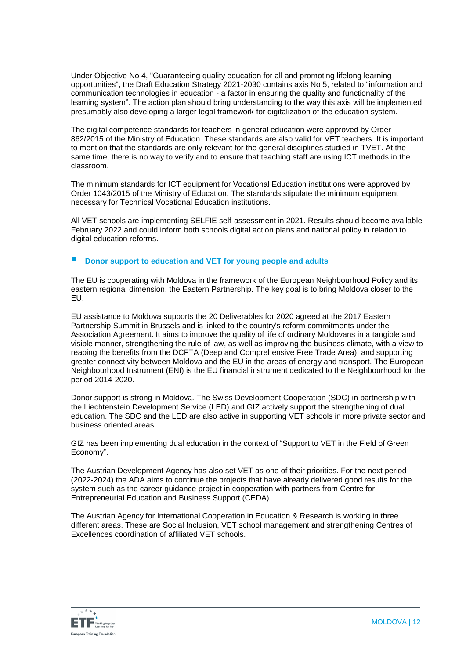Under Objective No 4, "Guaranteeing quality education for all and promoting lifelong learning opportunities", the Draft Education Strategy 2021-2030 contains axis No 5, related to "information and communication technologies in education - a factor in ensuring the quality and functionality of the learning system". The action plan should bring understanding to the way this axis will be implemented, presumably also developing a larger legal framework for digitalization of the education system.

The digital competence standards for teachers in general education were approved by Order 862/2015 of the Ministry of Education. These standards are also valid for VET teachers. It is important to mention that the standards are only relevant for the general disciplines studied in TVET. At the same time, there is no way to verify and to ensure that teaching staff are using ICT methods in the classroom.

The minimum standards for ICT equipment for Vocational Education institutions were approved by Order 1043/2015 of the Ministry of Education. The standards stipulate the minimum equipment necessary for Technical Vocational Education institutions.

All VET schools are implementing SELFIE self-assessment in 2021. Results should become available February 2022 and could inform both schools digital action plans and national policy in relation to digital education reforms.

### ■ Donor support to education and VET for young people and adults

The EU is cooperating with Moldova in the framework of the European Neighbourhood Policy and its eastern regional dimension, the Eastern Partnership. The key goal is to bring Moldova closer to the EU.

EU assistance to Moldova supports the 20 Deliverables for 2020 agreed at the 2017 Eastern Partnership Summit in Brussels and is linked to the country's reform commitments under the Association Agreement. It aims to improve the quality of life of ordinary Moldovans in a tangible and visible manner, strengthening the rule of law, as well as improving the business climate, with a view to reaping the benefits from the DCFTA (Deep and Comprehensive Free Trade Area), and supporting greater connectivity between Moldova and the EU in the areas of energy and transport. The European Neighbourhood Instrument (ENI) is the EU financial instrument dedicated to the Neighbourhood for the period 2014-2020.

Donor support is strong in Moldova. The Swiss Development Cooperation (SDC) in partnership with the Liechtenstein Development Service (LED) and GIZ actively support the strengthening of dual education. The SDC and the LED are also active in supporting VET schools in more private sector and business oriented areas.

GIZ has been implementing dual education in the context of "Support to VET in the Field of Green Economy".

The Austrian Development Agency has also set VET as one of their priorities. For the next period (2022-2024) the ADA aims to continue the projects that have already delivered good results for the system such as the career guidance project in cooperation with partners from Centre for Entrepreneurial Education and Business Support (CEDA).

The Austrian Agency for International Cooperation in Education & Research is working in three different areas. These are Social Inclusion, VET school management and strengthening Centres of Excellences coordination of affiliated VET schools.

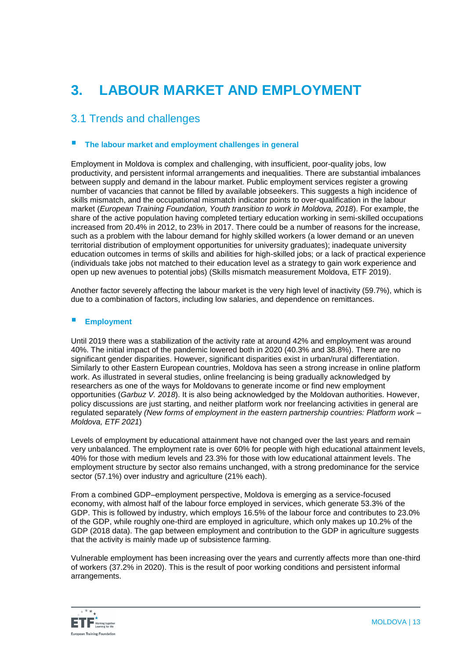# **3. LABOUR MARKET AND EMPLOYMENT**

### 3.1 Trends and challenges

### **The labour market and employment challenges in general**

Employment in Moldova is complex and challenging, with insufficient, poor-quality jobs, low productivity, and persistent informal arrangements and inequalities. There are substantial imbalances between supply and demand in the labour market. Public employment services register a growing number of vacancies that cannot be filled by available jobseekers. This suggests a high incidence of skills mismatch, and the occupational mismatch indicator points to over-qualification in the labour market (*[European Training Foundation, Youth transition to work in Moldova, 2018](https://europeantrainingfoundation.sharepoint.com/sites/image/Moldova/SitePages/Country%20Fiche.aspx#_ftnref1)*). For example, the share of the active population having completed tertiary education working in semi-skilled occupations increased from 20.4% in 2012, to 23% in 2017. There could be a number of reasons for the increase, such as a problem with the labour demand for highly skilled workers (a lower demand or an uneven territorial distribution of employment opportunities for university graduates); inadequate university education outcomes in terms of skills and abilities for high-skilled jobs; or a lack of practical experience (individuals take jobs not matched to their education level as a strategy to gain work experience and open up new avenues to potential jobs) (Skills mismatch measurement Moldova, ETF 2019).

Another factor severely affecting the labour market is the very high level of inactivity (59.7%), which is due to a combination of factors, including low salaries, and dependence on remittances.

#### **Employment**

Until 2019 there was a stabilization of the activity rate at around 42% and employment was around 40%. The initial impact of the pandemic lowered both in 2020 (40.3% and 38.8%). There are no significant gender disparities. However, significant disparities exist in urban/rural differentiation. Similarly to other Eastern European countries, Moldova has seen a strong increase in online platform work. As illustrated in several studies, online freelancing is being gradually acknowledged by researchers as one of the ways for Moldovans to generate income or find new employment opportunities (*Garbuz V. 2018*). It is also being acknowledged by the Moldovan authorities. However, policy discussions are just starting, and neither platform work nor freelancing activities in general are regulated separately *(New forms of employment in the eastern partnership countries: Platform work – Moldova, ETF 2021*)

Levels of employment by educational attainment have not changed over the last years and remain very unbalanced. The employment rate is over 60% for people with high educational attainment levels, 40% for those with medium levels and 23.3% for those with low educational attainment levels. The employment structure by sector also remains unchanged, with a strong predominance for the service sector (57.1%) over industry and agriculture (21% each).

From a combined GDP–employment perspective, Moldova is emerging as a service-focused economy, with almost half of the labour force employed in services, which generate 53.3% of the GDP. This is followed by industry, which employs 16.5% of the labour force and contributes to 23.0% of the GDP, while roughly one-third are employed in agriculture, which only makes up 10.2% of the GDP (2018 data). The gap between employment and contribution to the GDP in agriculture suggests that the activity is mainly made up of subsistence farming.

Vulnerable employment has been increasing over the years and currently affects more than one-third of workers (37.2% in 2020). This is the result of poor working conditions and persistent informal arrangements.

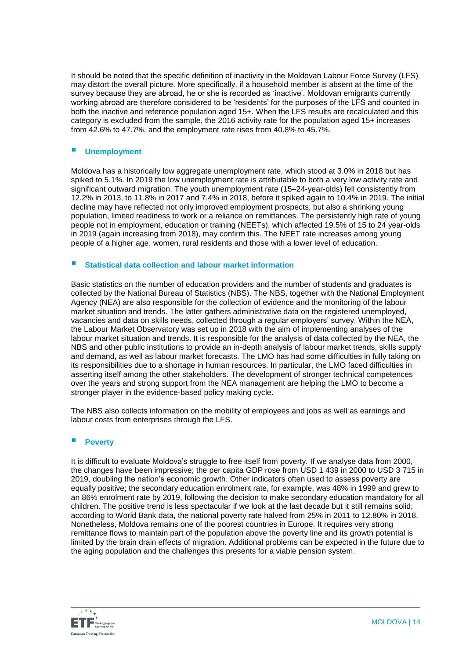It should be noted that the specific definition of inactivity in the Moldovan Labour Force Survey (LFS) may distort the overall picture. More specifically, if a household member is absent at the time of the survey because they are abroad, he or she is recorded as 'inactive'. Moldovan emigrants currently working abroad are therefore considered to be 'residents' for the purposes of the LFS and counted in both the inactive and reference population aged 15+. When the LFS results are recalculated and this category is excluded from the sample, the 2016 activity rate for the population aged 15+ increases from 42.6% to 47.7%, and the employment rate rises from 40.8% to 45.7%.

### **Unemployment**

Moldova has a historically low aggregate unemployment rate, which stood at 3.0% in 2018 but has spiked to 5.1%. In 2019 the low unemployment rate is attributable to both a very low activity rate and significant outward migration. The youth unemployment rate (15–24-year-olds) fell consistently from 12.2% in 2013, to 11.8% in 2017 and 7.4% in 2018, before it spiked again to 10.4% in 2019. The initial decline may have reflected not only improved employment prospects, but also a shrinking young population, limited readiness to work or a reliance on remittances. The persistently high rate of young people not in employment, education or training (NEETs), which affected 19.5% of 15 to 24 year-olds in 2019 (again increasing from 2018), may confirm this. The NEET rate increases among young people of a higher age, women, rural residents and those with a lower level of education.

#### **Statistical data collection and labour market information**

Basic statistics on the number of education providers and the number of students and graduates is collected by the National Bureau of Statistics (NBS). The NBS, together with the National Employment Agency (NEA) are also responsible for the collection of evidence and the monitoring of the labour market situation and trends. The latter gathers administrative data on the registered unemployed, vacancies and data on skills needs, collected through a regular employers' survey. Within the NEA, the Labour Market Observatory was set up in 2018 with the aim of implementing analyses of the labour market situation and trends. It is responsible for the analysis of data collected by the NEA, the NBS and other public institutions to provide an in-depth analysis of labour market trends, skills supply and demand, as well as labour market forecasts. The LMO has had some difficulties in fully taking on its responsibilities due to a shortage in human resources. In particular, the LMO faced difficulties in asserting itself among the other stakeholders. The development of stronger technical competences over the years and strong support from the NEA management are helping the LMO to become a stronger player in the evidence-based policy making cycle.

The NBS also collects information on the mobility of employees and jobs as well as earnings and labour costs from enterprises through the LFS.

### **Poverty**

It is difficult to evaluate Moldova's struggle to free itself from poverty. If we analyse data from 2000, the changes have been impressive; the per capita GDP rose from USD 1 439 in 2000 to USD 3 715 in 2019, doubling the nation's economic growth. Other indicators often used to assess poverty are equally positive; the secondary education enrolment rate, for example, was 48% in 1999 and grew to an [86% enrolment](https://tradingeconomics.com/moldova/school-enrollment-secondary-percent-gross-wb-data.html) rate by 2019, following the decision to make secondary education mandatory for all children. The positive trend is less spectacular if we look at the last decade but it still remains solid; according to World Bank data, the national poverty rate halved from 25% in 2011 to 12.80% in 2018. Nonetheless, Moldova remains one of the poorest countries in Europe. It requires very strong remittance flows to maintain part of the population above the poverty line and its growth potential is limited by the brain drain effects of migration. Additional problems can be expected in the future due to the aging population and the challenges this presents for a viable pension system.

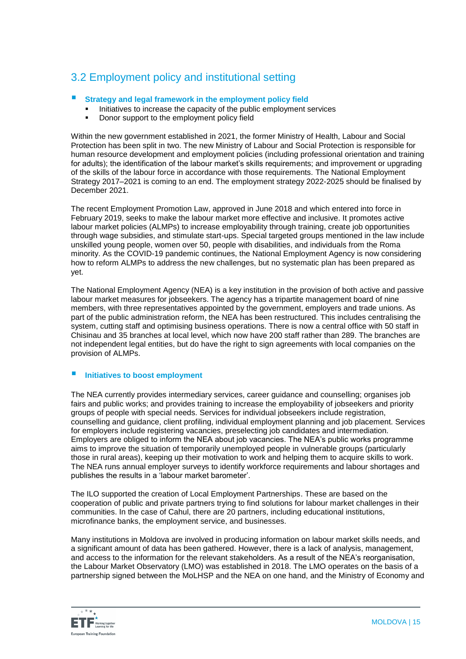### 3.2 Employment policy and institutional setting

### **Strategy and legal framework in the employment policy field**

- Initiatives to increase the capacity of the public employment services
- Donor support to the employment policy field

Within the new government established in 2021, the former Ministry of Health, Labour and Social Protection has been split in two. The new Ministry of Labour and Social Protection is responsible for human resource development and employment policies (including professional orientation and training for adults); the identification of the labour market's skills requirements; and improvement or upgrading of the skills of the labour force in accordance with those requirements. The National Employment Strategy 2017–2021 is coming to an end. The employment strategy 2022-2025 should be finalised by December 2021.

The recent Employment Promotion Law, approved in June 2018 and which entered into force in February 2019, seeks to make the labour market more effective and inclusive. It promotes active labour market policies (ALMPs) to increase employability through training, create job opportunities through wage subsidies, and stimulate start-ups. Special targeted groups mentioned in the law include unskilled young people, women over 50, people with disabilities, and individuals from the Roma minority. As the COVID-19 pandemic continues, the National Employment Agency is now considering how to reform ALMPs to address the new challenges, but no systematic plan has been prepared as yet.

The National Employment Agency (NEA) is a key institution in the provision of both active and passive labour market measures for jobseekers. The agency has a tripartite management board of nine members, with three representatives appointed by the government, employers and trade unions. As part of the public administration reform, the NEA has been restructured. This includes centralising the system, cutting staff and optimising business operations. There is now a central office with 50 staff in Chisinau and 35 branches at local level, which now have 200 staff rather than 289. The branches are not independent legal entities, but do have the right to sign agreements with local companies on the provision of ALMPs.

### **Initiatives to boost employment**

The NEA currently provides intermediary services, career guidance and counselling; organises job fairs and public works; and provides training to increase the employability of jobseekers and priority groups of people with special needs. Services for individual jobseekers include registration, counselling and guidance, client profiling, individual employment planning and job placement. Services for employers include registering vacancies, preselecting job candidates and intermediation. Employers are obliged to inform the NEA about job vacancies. The NEA's public works programme aims to improve the situation of temporarily unemployed people in vulnerable groups (particularly those in rural areas), keeping up their motivation to work and helping them to acquire skills to work. The NEA runs annual employer surveys to identify workforce requirements and labour shortages and publishes the results in a 'labour market barometer'.

The ILO supported the creation of Local Employment Partnerships. These are based on the cooperation of public and private partners trying to find solutions for labour market challenges in their communities. In the case of Cahul, there are 20 partners, including educational institutions, microfinance banks, the employment service, and businesses.

Many institutions in Moldova are involved in producing information on labour market skills needs, and a significant amount of data has been gathered. However, there is a lack of analysis, management, and access to the information for the relevant stakeholders. As a result of the NEA's reorganisation, the Labour Market Observatory (LMO) was established in 2018. The LMO operates on the basis of a partnership signed between the MoLHSP and the NEA on one hand, and the Ministry of Economy and

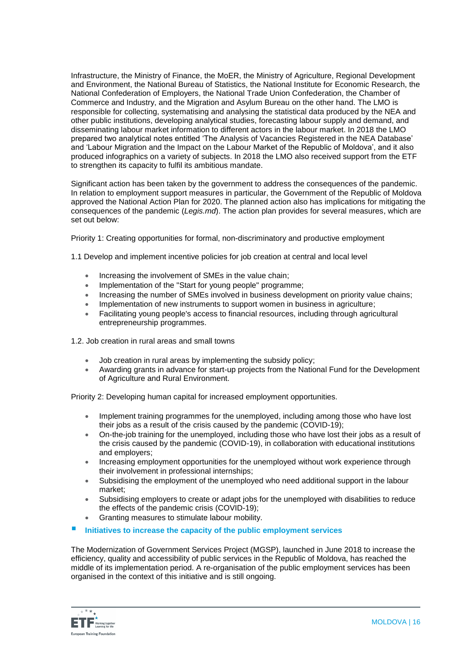Infrastructure, the Ministry of Finance, the MoER, the Ministry of Agriculture, Regional Development and Environment, the National Bureau of Statistics, the National Institute for Economic Research, the National Confederation of Employers, the National Trade Union Confederation, the Chamber of Commerce and Industry, and the Migration and Asylum Bureau on the other hand. The LMO is responsible for collecting, systematising and analysing the statistical data produced by the NEA and other public institutions, developing analytical studies, forecasting labour supply and demand, and disseminating labour market information to different actors in the labour market. In 2018 the LMO prepared two analytical notes entitled 'The Analysis of Vacancies Registered in the NEA Database' and 'Labour Migration and the Impact on the Labour Market of the Republic of Moldova', and it also produced infographics on a variety of subjects. In 2018 the LMO also received support from the ETF to strengthen its capacity to fulfil its ambitious mandate.

Significant action has been taken by the government to address the consequences of the pandemic. In relation to employment support measures in particular, the Government of the Republic of Moldova approved the National Action Plan for 2020. The planned action also has implications for mitigating the consequences of the pandemic (*Legis.md*). The action plan provides for several measures, which are set out below:

Priority 1: Creating opportunities for formal, non-discriminatory and productive employment

1.1 Develop and implement incentive policies for job creation at central and local level

- Increasing the involvement of SMEs in the value chain;
- Implementation of the "Start for young people" programme;
- Increasing the number of SMEs involved in business development on priority value chains;
- Implementation of new instruments to support women in business in agriculture;
- Facilitating young people's access to financial resources, including through agricultural entrepreneurship programmes.
- 1.2. Job creation in rural areas and small towns
	- Job creation in rural areas by implementing the subsidy policy;
	- Awarding grants in advance for start-up projects from the National Fund for the Development of Agriculture and Rural Environment.

Priority 2: Developing human capital for increased employment opportunities.

- Implement training programmes for the unemployed, including among those who have lost their jobs as a result of the crisis caused by the pandemic (COVID-19);
- On-the-job training for the unemployed, including those who have lost their jobs as a result of the crisis caused by the pandemic (COVID-19), in collaboration with educational institutions and employers;
- Increasing employment opportunities for the unemployed without work experience through their involvement in professional internships;
- Subsidising the employment of the unemployed who need additional support in the labour market;
- Subsidising employers to create or adapt jobs for the unemployed with disabilities to reduce the effects of the pandemic crisis (COVID-19);
- Granting measures to stimulate labour mobility.
- **Initiatives to increase the capacity of the public employment services**

The Modernization of Government Services Project (MGSP), launched in June 2018 to increase the efficiency, quality and accessibility of public services in the Republic of Moldova, has reached the middle of its implementation period. A re-organisation of the public employment services has been organised in the context of this initiative and is still ongoing.

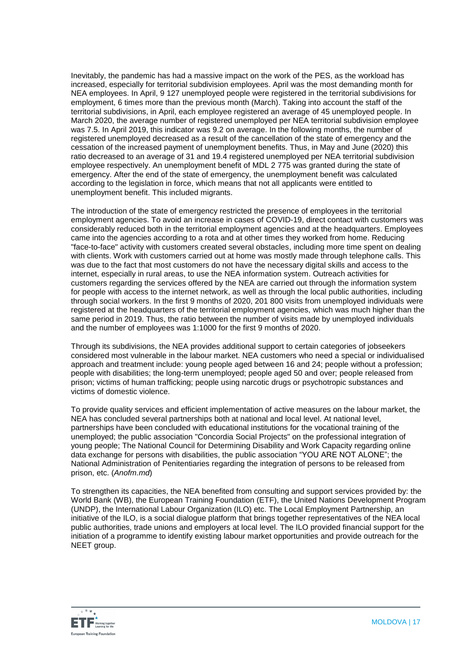Inevitably, the pandemic has had a massive impact on the work of the PES, as the workload has increased, especially for territorial subdivision employees. April was the most demanding month for NEA employees. In April, 9 127 unemployed people were registered in the territorial subdivisions for employment, 6 times more than the previous month (March). Taking into account the staff of the territorial subdivisions, in April, each employee registered an average of 45 unemployed people. In March 2020, the average number of registered unemployed per NEA territorial subdivision employee was 7.5. In April 2019, this indicator was 9.2 on average. In the following months, the number of registered unemployed decreased as a result of the cancellation of the state of emergency and the cessation of the increased payment of unemployment benefits. Thus, in May and June (2020) this ratio decreased to an average of 31 and 19.4 registered unemployed per NEA territorial subdivision employee respectively. An unemployment benefit of MDL 2 775 was granted during the state of emergency. After the end of the state of emergency, the unemployment benefit was calculated according to the legislation in force, which means that not all applicants were entitled to unemployment benefit. This included migrants.

The introduction of the state of emergency restricted the presence of employees in the territorial employment agencies. To avoid an increase in cases of COVID-19, direct contact with customers was considerably reduced both in the territorial employment agencies and at the headquarters. Employees came into the agencies according to a rota and at other times they worked from home. Reducing "face-to-face" activity with customers created several obstacles, including more time spent on dealing with clients. Work with customers carried out at home was mostly made through telephone calls. This was due to the fact that most customers do not have the necessary digital skills and access to the internet, especially in rural areas, to use the NEA information system. Outreach activities for customers regarding the services offered by the NEA are carried out through the information system for people with access to the internet network, as well as through the local public authorities, including through social workers. In the first 9 months of 2020, 201 800 visits from unemployed individuals were registered at the headquarters of the territorial employment agencies, which was much higher than the same period in 2019. Thus, the ratio between the number of visits made by unemployed individuals and the number of employees was 1:1000 for the first 9 months of 2020.

Through its subdivisions, the NEA provides additional support to certain categories of jobseekers considered most vulnerable in the labour market. NEA customers who need a special or individualised approach and treatment include: young people aged between 16 and 24; people without a profession; people with disabilities; the long-term unemployed; people aged 50 and over; people released from prison; victims of human trafficking; people using narcotic drugs or psychotropic substances and victims of domestic violence.

To provide quality services and efficient implementation of active measures on the labour market, the NEA has concluded several partnerships both at national and local level. At national level, partnerships have been concluded with educational institutions for the vocational training of the unemployed; the public association "Concordia Social Projects" on the professional integration of young people; The National Council for Determining Disability and Work Capacity regarding online data exchange for persons with disabilities, the public association "YOU ARE NOT ALONE"; the National Administration of Penitentiaries regarding the integration of persons to be released from prison, etc. (*Anofm.md*)

To strengthen its capacities, the NEA benefited from consulting and support services provided by: the World Bank (WB), the European Training Foundation (ETF), the United Nations Development Program (UNDP), the International Labour Organization (ILO) etc. The Local Employment Partnership, an initiative of the ILO, is a social dialogue platform that brings together representatives of the NEA local public authorities, trade unions and employers at local level. The ILO provided financial support for the initiation of a programme to identify existing labour market opportunities and provide outreach for the NEET group.

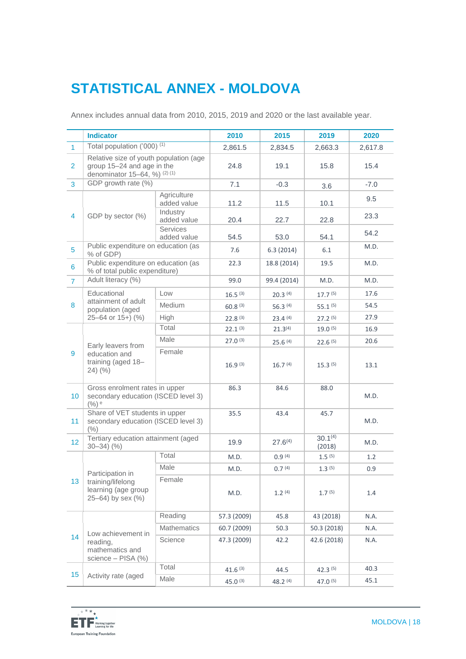# **STATISTICAL ANNEX - MOLDOVA**

Annex includes annual data from 2010, 2015, 2019 and 2020 or the last available year.

|                | <b>Indicator</b>                                                                                      |                            | 2010                | 2015                | 2019                   | 2020    |
|----------------|-------------------------------------------------------------------------------------------------------|----------------------------|---------------------|---------------------|------------------------|---------|
| $\mathbf{1}$   | Total population ('000) <sup>(1)</sup>                                                                |                            | 2,861.5             | 2,834.5             | 2,663.3                | 2,617.8 |
| $\overline{2}$ | Relative size of youth population (age<br>group 15-24 and age in the<br>denominator 15-64, %) (2) (1) |                            | 24.8                | 19.1                | 15.8                   | 15.4    |
| 3              | GDP growth rate (%)                                                                                   |                            | 7.1                 | $-0.3$              | 3.6                    | $-7.0$  |
| $\overline{4}$ | GDP by sector (%)                                                                                     | Agriculture<br>added value | 11.2                | 11.5                | 10.1                   | 9.5     |
|                |                                                                                                       | Industry<br>added value    | 20.4                | 22.7                | 22.8                   | 23.3    |
|                |                                                                                                       | Services<br>added value    | 54.5                | 53.0                | 54.1                   | 54.2    |
| 5              | Public expenditure on education (as<br>% of GDP)                                                      |                            | 7.6                 | 6.3(2014)           | 6.1                    | M.D.    |
| 6              | Public expenditure on education (as<br>% of total public expenditure)                                 |                            | 22.3                | 18.8 (2014)         | 19.5                   | M.D.    |
| $\mathbf{7}$   | Adult literacy (%)                                                                                    |                            | 99.0                | 99.4 (2014)         | M.D.                   | M.D.    |
|                | Educational                                                                                           | Low                        | $16.5^{(3)}$        | 20.3(4)             | 17.7 <sup>(5)</sup>    | 17.6    |
| 8              | attainment of adult<br>population (aged                                                               | Medium                     | 60.8(3)             | 56.3(4)             | 55.1 <sup>(5)</sup>    | 54.5    |
|                | $25-64$ or $15+$ ) (%)                                                                                | High                       | 22.8 <sup>(3)</sup> | 23.4(4)             | $27.2^{(5)}$           | 27.9    |
|                |                                                                                                       | Total                      | 22.1 <sup>(3)</sup> | $21.3^{(4)}$        | 19.0 <sup>(5)</sup>    | 16.9    |
|                | Early leavers from<br>education and<br>training (aged 18-<br>$24)$ (%)                                | Male                       | $27.0^{(3)}$        | 25.6(4)             | 22.6(5)                | 20.6    |
| 9              |                                                                                                       | Female                     | 16.9(3)             | 16.7 <sup>(4)</sup> | $15.3^{(5)}$           | 13.1    |
| 10             | Gross enrolment rates in upper<br>secondary education (ISCED level 3)<br>$(%)$ e                      |                            | 86.3                | 84.6                | 88.0                   | M.D.    |
| 11             | Share of VET students in upper<br>secondary education (ISCED level 3)<br>(%)                          |                            | 35.5                | 43.4                | 45.7                   | M.D.    |
| 12             | Tertiary education attainment (aged<br>$30 - 34$ $(%)$                                                |                            | 19.9                | $27.6^{(4)}$        | $30.1^{(4)}$<br>(2018) | M.D.    |
|                | Participation in<br>training/lifelong<br>learning (age group<br>25-64) by sex (%)                     | Total                      | M.D.                | 0.9(4)              | $1.5^{(5)}$            | 1.2     |
|                |                                                                                                       | Male                       | M.D.                | 0.7(4)              | 1.3(5)                 | 0.9     |
| 13             |                                                                                                       | Female                     | M.D.                | $1.2^{(4)}$         | 1.7 <sup>(5)</sup>     | 1.4     |
| 14             | Low achievement in<br>reading,<br>mathematics and<br>science - PISA (%)                               | Reading                    | 57.3 (2009)         | 45.8                | 43 (2018)              | N.A.    |
|                |                                                                                                       | <b>Mathematics</b>         | 60.7 (2009)         | 50.3                | 50.3 (2018)            | N.A.    |
|                |                                                                                                       | Science                    | 47.3 (2009)         | 42.2                | 42.6 (2018)            | N.A.    |
|                |                                                                                                       | Total                      | $41.6^{(3)}$        | 44.5                | $42.3^{(5)}$           | 40.3    |
| 15             | Activity rate (aged                                                                                   | Male                       | $45.0^{(3)}$        | 48.2 (4)            | $47.0^{(5)}$           | 45.1    |

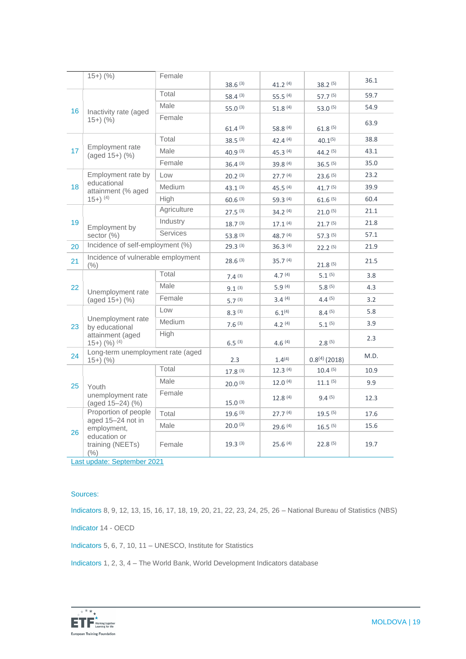|    | $15+)$ (%)                                                                                              | Female          | 38.6(3)             | 41.2(4)             | 38.2(5)             | 36.1 |
|----|---------------------------------------------------------------------------------------------------------|-----------------|---------------------|---------------------|---------------------|------|
| 16 | Inactivity rate (aged<br>$15+)$ (%)                                                                     | Total           | $58.4^{(3)}$        | $55.5^{(4)}$        | 57.7 (5)            | 59.7 |
|    |                                                                                                         | Male            | 55.0 $(3)$          | $51.8^{(4)}$        | $53.0^{(5)}$        | 54.9 |
|    |                                                                                                         | Female          | 61.4(3)             | 58.8 (4)            | 61.8 <sup>(5)</sup> | 63.9 |
|    | Employment rate<br>(aged 15+) (%)                                                                       | Total           | $38.5^{(3)}$        | 42.4 $(4)$          | $40.1^{(5)}$        | 38.8 |
| 17 |                                                                                                         | Male            | $40.9^{(3)}$        | 45.3 (4)            | $44.2^{(5)}$        | 43.1 |
|    |                                                                                                         | Female          | 36.4(3)             | 39.8 (4)            | 36.5(5)             | 35.0 |
|    | Employment rate by<br>educational<br>attainment (% aged                                                 | Low             | 20.2 <sup>(3)</sup> | 27.7 <sup>(4)</sup> | 23.6(5)             | 23.2 |
| 18 |                                                                                                         | Medium          | $43.1^{(3)}$        | $45.5^{(4)}$        | 41.7 <sup>(5)</sup> | 39.9 |
|    | $(15+)$ <sup>(4)</sup>                                                                                  | High            | 60.6(3)             | 59.3(4)             | 61.6(5)             | 60.4 |
|    |                                                                                                         | Agriculture     | 27.5(3)             | $34.2^{(4)}$        | $21.0^{(5)}$        | 21.1 |
| 19 | Employment by                                                                                           | Industry        | 18.7 <sup>(3)</sup> | $17.1^{(4)}$        | 21.7 <sup>(5)</sup> | 21.8 |
|    | sector (%)                                                                                              | <b>Services</b> | $53.8^{(3)}$        | $48.7^{(4)}$        | $57.3^{(5)}$        | 57.1 |
| 20 | Incidence of self-employment (%)                                                                        |                 | 29.3(3)             | 36.3(4)             | 22.2(5)             | 21.9 |
| 21 | Incidence of vulnerable employment<br>(% )                                                              |                 | $28.6^{(3)}$        | $35.7^{(4)}$        | 21.8 <sup>(5)</sup> | 21.5 |
|    | Unemployment rate<br>(aged 15+) (%)                                                                     | Total           | 7.4(3)              | 4.7(4)              | 5.1 <sup>(5)</sup>  | 3.8  |
| 22 |                                                                                                         | Male            | 9.1 <sup>(3)</sup>  | 5.9(4)              | $5.8^{(5)}$         | 4.3  |
|    |                                                                                                         | Female          | 5.7 <sup>(3)</sup>  | 3.4(4)              | 4.4(5)              | 3.2  |
|    | Unemployment rate<br>by educational<br>attainment (aged<br>$(15+)$ $(9)$ $(4)$                          | Low             | 8.3(3)              | $6.1^{(4)}$         | $8.4^{(5)}$         | 5.8  |
| 23 |                                                                                                         | Medium          | 7.6(3)              | 4.2(4)              | 5.1 <sup>(5)</sup>  | 3.9  |
|    |                                                                                                         | High            | $6.5^{(3)}$         | 4.6 $(4)$           | 2.8(5)              | 2.3  |
| 24 | Long-term unemployment rate (aged<br>$15+)$ (%)                                                         |                 | 2.3                 | 1.4(4)              | $0.8^{(4)}$ (2018)  | M.D. |
|    | Youth<br>unemployment rate<br>(aged 15-24) (%)                                                          | Total           | 17.8 <sup>(3)</sup> | 12.3(4)             | 10.4(5)             | 10.9 |
| 25 |                                                                                                         | Male            | $20.0^{(3)}$        | $12.0^{(4)}$        | $11.1^{(5)}$        | 9.9  |
|    |                                                                                                         | Female          | $15.0^{(3)}$        | 12.8(4)             | 9.4(5)              | 12.3 |
|    | Proportion of people<br>aged 15-24 not in<br>employment,<br>education or<br>training (NEETs)<br>$(\% )$ | Total           | 19.6(3)             | 27.7 <sup>(4)</sup> | $19.5^{(5)}$        | 17.6 |
|    |                                                                                                         | Male            | $20.0^{(3)}$        | 29.6(4)             | $16.5^{(5)}$        | 15.6 |
| 26 |                                                                                                         | Female          | 19.3(3)             | 25.6(4)             | 22.8(5)             | 19.7 |

Last update: September 2021

#### Sources:

Indicators 8, 9, 12, 13, 15, 16, 17, 18, 19, 20, 21, 22, 23, 24, 25, 26 – National Bureau of Statistics (NBS)

Indicator 14 - OECD

Indicators 5, 6, 7, 10, 11 – UNESCO, Institute for Statistics

Indicators 1, 2, 3, 4 – The World Bank, World Development Indicators database

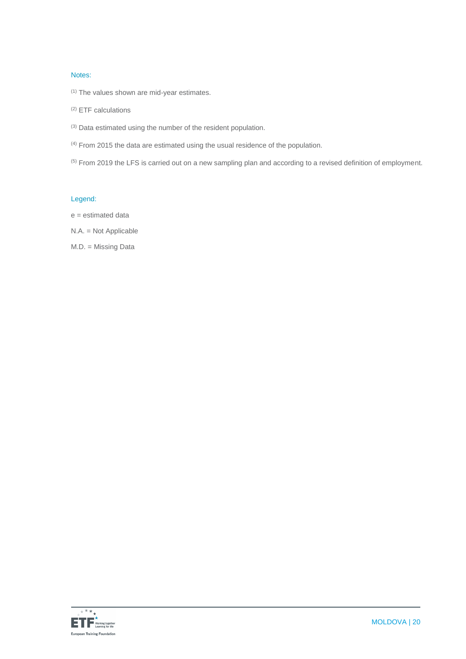#### Notes:

- $(1)$  The values shown are mid-year estimates.
- (2) ETF calculations
- (3) Data estimated using the number of the resident population.
- (4) From 2015 the data are estimated using the usual residence of the population.
- (5) From 2019 the LFS is carried out on a new sampling plan and according to a revised definition of employment.

### Legend:

- e = estimated data
- N.A. = Not Applicable
- M.D. = Missing Data

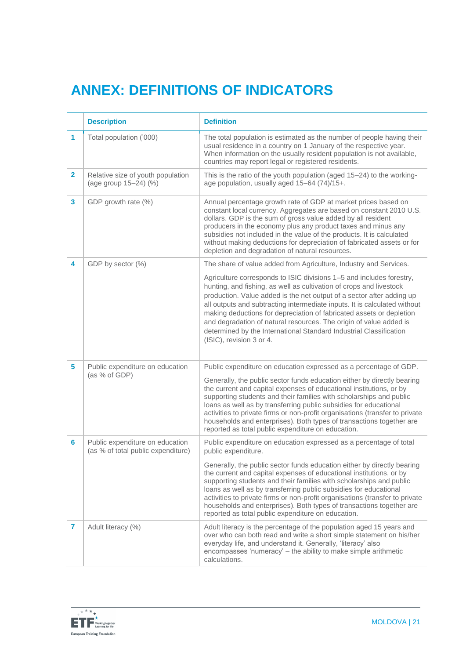# **ANNEX: DEFINITIONS OF INDICATORS**

|                | <b>Description</b>                                                    | <b>Definition</b>                                                                                                                                                                                                                                                                                                                                                                                                                                                                                                                                 |  |  |
|----------------|-----------------------------------------------------------------------|---------------------------------------------------------------------------------------------------------------------------------------------------------------------------------------------------------------------------------------------------------------------------------------------------------------------------------------------------------------------------------------------------------------------------------------------------------------------------------------------------------------------------------------------------|--|--|
| $\mathbf{1}$   | Total population ('000)                                               | The total population is estimated as the number of people having their<br>usual residence in a country on 1 January of the respective year.<br>When information on the usually resident population is not available,<br>countries may report legal or registered residents.                                                                                                                                                                                                                                                                       |  |  |
| $\overline{2}$ | Relative size of youth population<br>(age group 15-24) (%)            | This is the ratio of the youth population (aged 15-24) to the working-<br>age population, usually aged 15-64 (74)/15+.                                                                                                                                                                                                                                                                                                                                                                                                                            |  |  |
| 3              | GDP growth rate (%)                                                   | Annual percentage growth rate of GDP at market prices based on<br>constant local currency. Aggregates are based on constant 2010 U.S.<br>dollars. GDP is the sum of gross value added by all resident<br>producers in the economy plus any product taxes and minus any<br>subsidies not included in the value of the products. It is calculated<br>without making deductions for depreciation of fabricated assets or for<br>depletion and degradation of natural resources.                                                                      |  |  |
| 4              | GDP by sector (%)                                                     | The share of value added from Agriculture, Industry and Services.                                                                                                                                                                                                                                                                                                                                                                                                                                                                                 |  |  |
|                |                                                                       | Agriculture corresponds to ISIC divisions 1-5 and includes forestry,<br>hunting, and fishing, as well as cultivation of crops and livestock<br>production. Value added is the net output of a sector after adding up<br>all outputs and subtracting intermediate inputs. It is calculated without<br>making deductions for depreciation of fabricated assets or depletion<br>and degradation of natural resources. The origin of value added is<br>determined by the International Standard Industrial Classification<br>(ISIC), revision 3 or 4. |  |  |
| 5              | Public expenditure on education                                       | Public expenditure on education expressed as a percentage of GDP.                                                                                                                                                                                                                                                                                                                                                                                                                                                                                 |  |  |
|                | (as % of GDP)                                                         | Generally, the public sector funds education either by directly bearing<br>the current and capital expenses of educational institutions, or by<br>supporting students and their families with scholarships and public<br>loans as well as by transferring public subsidies for educational<br>activities to private firms or non-profit organisations (transfer to private<br>households and enterprises). Both types of transactions together are<br>reported as total public expenditure on education.                                          |  |  |
| 6              | Public expenditure on education<br>(as % of total public expenditure) | Public expenditure on education expressed as a percentage of total<br>public expenditure.                                                                                                                                                                                                                                                                                                                                                                                                                                                         |  |  |
|                |                                                                       | Generally, the public sector funds education either by directly bearing<br>the current and capital expenses of educational institutions, or by<br>supporting students and their families with scholarships and public<br>loans as well as by transferring public subsidies for educational<br>activities to private firms or non-profit organisations (transfer to private<br>households and enterprises). Both types of transactions together are<br>reported as total public expenditure on education.                                          |  |  |
| 7              | Adult literacy (%)                                                    | Adult literacy is the percentage of the population aged 15 years and<br>over who can both read and write a short simple statement on his/her<br>everyday life, and understand it. Generally, 'literacy' also<br>encompasses 'numeracy' - the ability to make simple arithmetic<br>calculations.                                                                                                                                                                                                                                                   |  |  |

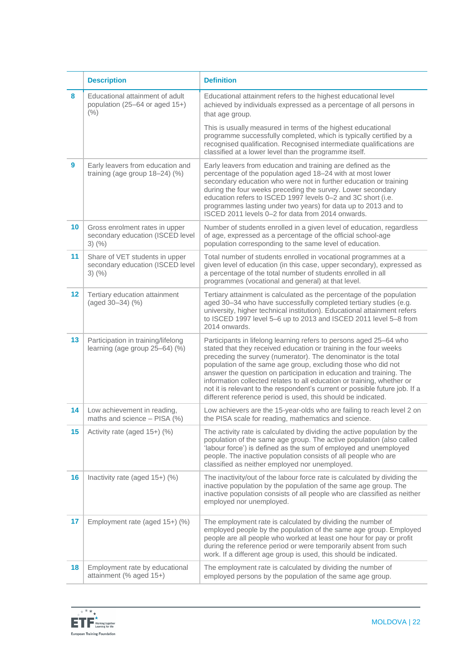|         | <b>Description</b>                                                                 | <b>Definition</b>                                                                                                                                                                                                                                                                                                                                                                                                                                                                                                                                                           |  |  |
|---------|------------------------------------------------------------------------------------|-----------------------------------------------------------------------------------------------------------------------------------------------------------------------------------------------------------------------------------------------------------------------------------------------------------------------------------------------------------------------------------------------------------------------------------------------------------------------------------------------------------------------------------------------------------------------------|--|--|
| 8       | Educational attainment of adult<br>population (25-64 or aged 15+)<br>(% )          | Educational attainment refers to the highest educational level<br>achieved by individuals expressed as a percentage of all persons in<br>that age group.                                                                                                                                                                                                                                                                                                                                                                                                                    |  |  |
|         |                                                                                    | This is usually measured in terms of the highest educational<br>programme successfully completed, which is typically certified by a<br>recognised qualification. Recognised intermediate qualifications are<br>classified at a lower level than the programme itself.                                                                                                                                                                                                                                                                                                       |  |  |
| 9       | Early leavers from education and<br>training (age group 18-24) (%)                 | Early leavers from education and training are defined as the<br>percentage of the population aged 18-24 with at most lower<br>secondary education who were not in further education or training<br>during the four weeks preceding the survey. Lower secondary<br>education refers to ISCED 1997 levels 0-2 and 3C short (i.e.<br>programmes lasting under two years) for data up to 2013 and to<br>ISCED 2011 levels 0-2 for data from 2014 onwards.                                                                                                                       |  |  |
| 10      | Gross enrolment rates in upper<br>secondary education (ISCED level<br>$3)$ (%)     | Number of students enrolled in a given level of education, regardless<br>of age, expressed as a percentage of the official school-age<br>population corresponding to the same level of education.                                                                                                                                                                                                                                                                                                                                                                           |  |  |
| 11      | Share of VET students in upper<br>secondary education (ISCED level<br>$3)$ $(\% )$ | Total number of students enrolled in vocational programmes at a<br>given level of education (in this case, upper secondary), expressed as<br>a percentage of the total number of students enrolled in all<br>programmes (vocational and general) at that level.                                                                                                                                                                                                                                                                                                             |  |  |
| $12 \,$ | Tertiary education attainment<br>(aged 30-34) (%)                                  | Tertiary attainment is calculated as the percentage of the population<br>aged 30-34 who have successfully completed tertiary studies (e.g.<br>university, higher technical institution). Educational attainment refers<br>to ISCED 1997 level 5-6 up to 2013 and ISCED 2011 level 5-8 from<br>2014 onwards.                                                                                                                                                                                                                                                                 |  |  |
| 13      | Participation in training/lifelong<br>learning (age group 25-64) (%)               | Participants in lifelong learning refers to persons aged 25-64 who<br>stated that they received education or training in the four weeks<br>preceding the survey (numerator). The denominator is the total<br>population of the same age group, excluding those who did not<br>answer the question on participation in education and training. The<br>information collected relates to all education or training, whether or<br>not it is relevant to the respondent's current or possible future job. If a<br>different reference period is used, this should be indicated. |  |  |
| 14      | Low achievement in reading,<br>maths and science - PISA (%)                        | Low achievers are the 15-year-olds who are failing to reach level 2 on<br>the PISA scale for reading, mathematics and science.                                                                                                                                                                                                                                                                                                                                                                                                                                              |  |  |
| 15      | Activity rate (aged 15+) (%)                                                       | The activity rate is calculated by dividing the active population by the<br>population of the same age group. The active population (also called<br>'labour force') is defined as the sum of employed and unemployed<br>people. The inactive population consists of all people who are<br>classified as neither employed nor unemployed.                                                                                                                                                                                                                                    |  |  |
| 16      | Inactivity rate (aged 15+) (%)                                                     | The inactivity/out of the labour force rate is calculated by dividing the<br>inactive population by the population of the same age group. The<br>inactive population consists of all people who are classified as neither<br>employed nor unemployed.                                                                                                                                                                                                                                                                                                                       |  |  |
| 17      | Employment rate (aged 15+) (%)                                                     | The employment rate is calculated by dividing the number of<br>employed people by the population of the same age group. Employed<br>people are all people who worked at least one hour for pay or profit<br>during the reference period or were temporarily absent from such<br>work. If a different age group is used, this should be indicated.                                                                                                                                                                                                                           |  |  |
| 18      | Employment rate by educational<br>attainment (% aged 15+)                          | The employment rate is calculated by dividing the number of<br>employed persons by the population of the same age group.                                                                                                                                                                                                                                                                                                                                                                                                                                                    |  |  |

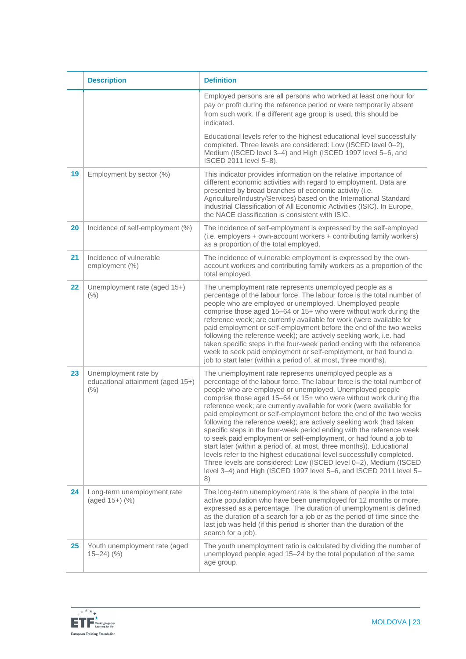|    | <b>Description</b>                                                    | <b>Definition</b>                                                                                                                                                                                                                                                                                                                                                                                                                                                                                                                                                                                                                                                                                                                                                                                                                                                                                                                         |
|----|-----------------------------------------------------------------------|-------------------------------------------------------------------------------------------------------------------------------------------------------------------------------------------------------------------------------------------------------------------------------------------------------------------------------------------------------------------------------------------------------------------------------------------------------------------------------------------------------------------------------------------------------------------------------------------------------------------------------------------------------------------------------------------------------------------------------------------------------------------------------------------------------------------------------------------------------------------------------------------------------------------------------------------|
|    |                                                                       | Employed persons are all persons who worked at least one hour for<br>pay or profit during the reference period or were temporarily absent<br>from such work. If a different age group is used, this should be<br>indicated.                                                                                                                                                                                                                                                                                                                                                                                                                                                                                                                                                                                                                                                                                                               |
|    |                                                                       | Educational levels refer to the highest educational level successfully<br>completed. Three levels are considered: Low (ISCED level 0-2),<br>Medium (ISCED level 3-4) and High (ISCED 1997 level 5-6, and<br>ISCED 2011 level 5-8).                                                                                                                                                                                                                                                                                                                                                                                                                                                                                                                                                                                                                                                                                                        |
| 19 | Employment by sector (%)                                              | This indicator provides information on the relative importance of<br>different economic activities with regard to employment. Data are<br>presented by broad branches of economic activity (i.e.<br>Agriculture/Industry/Services) based on the International Standard<br>Industrial Classification of All Economic Activities (ISIC). In Europe,<br>the NACE classification is consistent with ISIC.                                                                                                                                                                                                                                                                                                                                                                                                                                                                                                                                     |
| 20 | Incidence of self-employment (%)                                      | The incidence of self-employment is expressed by the self-employed<br>(i.e. employers + own-account workers + contributing family workers)<br>as a proportion of the total employed.                                                                                                                                                                                                                                                                                                                                                                                                                                                                                                                                                                                                                                                                                                                                                      |
| 21 | Incidence of vulnerable<br>employment (%)                             | The incidence of vulnerable employment is expressed by the own-<br>account workers and contributing family workers as a proportion of the<br>total employed.                                                                                                                                                                                                                                                                                                                                                                                                                                                                                                                                                                                                                                                                                                                                                                              |
| 22 | Unemployment rate (aged 15+)<br>(% )                                  | The unemployment rate represents unemployed people as a<br>percentage of the labour force. The labour force is the total number of<br>people who are employed or unemployed. Unemployed people<br>comprise those aged 15-64 or 15+ who were without work during the<br>reference week; are currently available for work (were available for<br>paid employment or self-employment before the end of the two weeks<br>following the reference week); are actively seeking work, i.e. had<br>taken specific steps in the four-week period ending with the reference<br>week to seek paid employment or self-employment, or had found a<br>job to start later (within a period of, at most, three months).                                                                                                                                                                                                                                   |
| 23 | Unemployment rate by<br>educational attainment (aged 15+)<br>$(\% )$  | The unemployment rate represents unemployed people as a<br>percentage of the labour force. The labour force is the total number of<br>people who are employed or unemployed. Unemployed people<br>comprise those aged 15-64 or 15+ who were without work during the<br>reference week; are currently available for work (were available for<br>paid employment or self-employment before the end of the two weeks<br>following the reference week); are actively seeking work (had taken<br>specific steps in the four-week period ending with the reference week<br>to seek paid employment or self-employment, or had found a job to<br>start later (within a period of, at most, three months)). Educational<br>levels refer to the highest educational level successfully completed.<br>Three levels are considered: Low (ISCED level 0-2), Medium (ISCED<br>level 3-4) and High (ISCED 1997 level 5-6, and ISCED 2011 level 5-<br>8) |
| 24 | Long-term unemployment rate<br>(aged 15+) (%)                         | The long-term unemployment rate is the share of people in the total<br>active population who have been unemployed for 12 months or more,<br>expressed as a percentage. The duration of unemployment is defined<br>as the duration of a search for a job or as the period of time since the<br>last job was held (if this period is shorter than the duration of the<br>search for a job).                                                                                                                                                                                                                                                                                                                                                                                                                                                                                                                                                 |
| 25 | Youth unemployment rate (aged<br>$15 - 24$ $\left(\frac{9}{6}\right)$ | The youth unemployment ratio is calculated by dividing the number of<br>unemployed people aged 15-24 by the total population of the same<br>age group.                                                                                                                                                                                                                                                                                                                                                                                                                                                                                                                                                                                                                                                                                                                                                                                    |

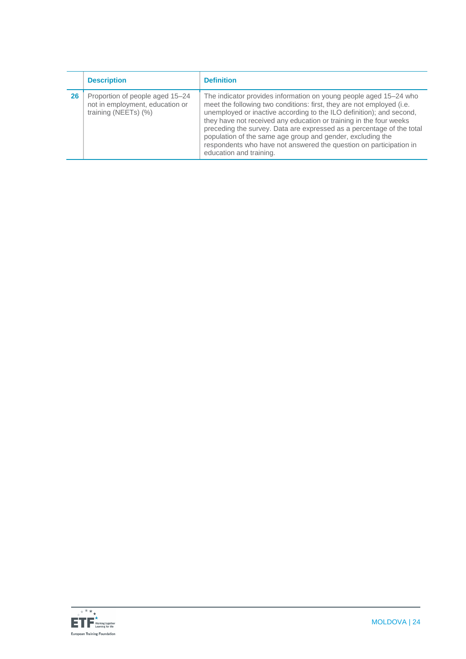|    | <b>Description</b>                                                                         | <b>Definition</b>                                                                                                                                                                                                                                                                                                                                                                                                                                                                                                                |
|----|--------------------------------------------------------------------------------------------|----------------------------------------------------------------------------------------------------------------------------------------------------------------------------------------------------------------------------------------------------------------------------------------------------------------------------------------------------------------------------------------------------------------------------------------------------------------------------------------------------------------------------------|
| 26 | Proportion of people aged 15-24<br>not in employment, education or<br>training (NEETs) (%) | The indicator provides information on young people aged 15–24 who<br>meet the following two conditions: first, they are not employed (i.e.<br>unemployed or inactive according to the ILO definition); and second,<br>they have not received any education or training in the four weeks<br>preceding the survey. Data are expressed as a percentage of the total<br>population of the same age group and gender, excluding the<br>respondents who have not answered the question on participation in<br>education and training. |

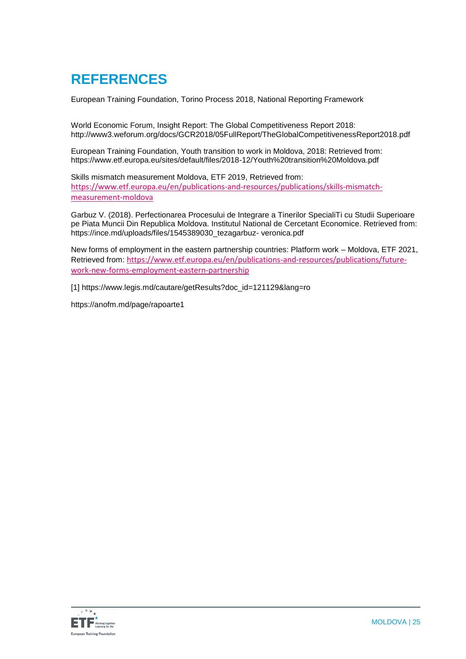### **REFERENCES**

European Training Foundation, Torino Process 2018, National Reporting Framework

[World Economic Forum, Insight Report: The Global Competitiveness Report 2018:](https://euc-word-edit.officeapps.live.com/we/%5b5%5d%20World%20Economic%20Forum,%20Insight%20Report:%20The%20Global%20Competitiveness%20Report%202018:%C2%A0%C2%A0http:/www3.weforum.org/docs/GCR2018/05FullReport/TheGlobalCompetitivenessReport2018.pdf)  [http://www3.weforum.org/docs/GCR2018/05FullReport/TheGlobalCompetitivenessReport2018.pdf](https://euc-word-edit.officeapps.live.com/we/%5b5%5d%20World%20Economic%20Forum,%20Insight%20Report:%20The%20Global%20Competitiveness%20Report%202018:%C2%A0%C2%A0http:/www3.weforum.org/docs/GCR2018/05FullReport/TheGlobalCompetitivenessReport2018.pdf)

European Training Foundation, Youth transition to work in Moldova, 2018: Retrieved from: https://www.etf.europa.eu/sites/default/files/2018-12/Youth%20transition%20Moldova.pdf

Skills mismatch measurement Moldova, ETF 2019, Retrieved from: [https://www.etf.europa.eu/en/publications-and-resources/publications/skills-mismatch](https://www.etf.europa.eu/en/publications-and-resources/publications/skills-mismatch-measurement-moldova)[measurement-moldova](https://www.etf.europa.eu/en/publications-and-resources/publications/skills-mismatch-measurement-moldova)

Garbuz V. (2018). Perfectionarea Procesului de Integrare a Tinerilor SpecialiTi cu Studii Superioare pe Piata Muncii Din Republica Moldova. Institutul National de Cercetant Economice. Retrieved from: [https://ince.md/uploads/files/1545389030\\_tezagarbuz-](https://ince.md/uploads/files/1545389030_tezagarbuz-%20veronica.pdf) veronica.pdf

New forms of employment in the eastern partnership countries: Platform work – Moldova, ETF 2021, Retrieved from: [https://www.etf.europa.eu/en/publications-and-resources/publications/future](https://www.etf.europa.eu/en/publications-and-resources/publications/future-work-new-forms-employment-eastern-partnership)[work-new-forms-employment-eastern-partnership](https://www.etf.europa.eu/en/publications-and-resources/publications/future-work-new-forms-employment-eastern-partnership)

[\[1\]](https://euc-word-edit.officeapps.live.com/we/wordeditorframe.aspx?ui=en%2DGB&rs=en%2DUS&wopisrc=https%3A%2F%2Feuropeantrainingfoundation.sharepoint.com%2Fsites%2FImage%2Fmoldova%2F_vti_bin%2Fwopi.ashx%2Ffiles%2Fce76100c1e0b4e568c3f8e6c06a5e922&wdenableroaming=1&mscc=1&hid=3F5A04A0-A0BD-3000-739E-EF8D00BE4353&wdorigin=Other&jsapi=1&jsapiver=v1&newsession=1&corrid=2acaab52-ed71-0503-a362-0a6909aa68cd&usid=2acaab52-ed71-0503-a362-0a6909aa68cd&sftc=1&mtf=1&sfp=1&instantedit=1&wopicomplete=1&wdredirectionreason=Unified_SingleFlush&preseededsessionkey=e2f738ed-1af1-9f88-fe5a-b16b0174fb88&preseededwacsessionid=2acaab52-ed71-0503-a362-0a6909aa68cd&rct=Medium&ctp=LeastProtected#_ftnref1) [https://www.legis.md/cautare/getResults?doc\\_id=121129&lang=ro](https://www.legis.md/cautare/getResults?doc_id=121129&lang=ro)

<https://anofm.md/page/rapoarte1>

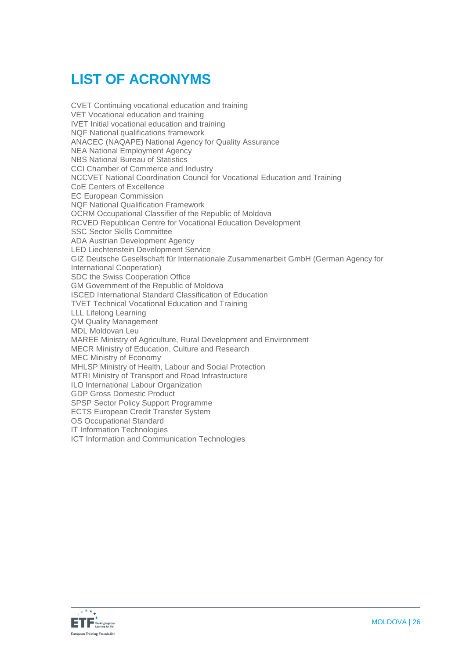# **LIST OF ACRONYMS**

CVET Continuing vocational education and training VET Vocational education and training IVET Initial vocational education and training NQF National qualifications framework ANACEC (NAQAPE) National Agency for Quality Assurance NEA National Employment Agency NBS National Bureau of Statistics CCI Chamber of Commerce and Industry NCCVET National Coordination Council for Vocational Education and Training CoE Centers of Excellence EC European Commission NQF National Qualification Framework OCRM Occupational Classifier of the Republic of Moldova RCVED Republican Centre for Vocational Education Development SSC Sector Skills Committee ADA Austrian Development Agency LED Liechtenstein Development Service GIZ Deutsche Gesellschaft für Internationale Zusammenarbeit GmbH (German Agency for International Cooperation) SDC the Swiss Cooperation Office GM Government of the Republic of Moldova ISCED International Standard Classification of Education TVET Technical Vocational Education and Training LLL Lifelong Learning QM Quality Management MDL Moldovan Leu MAREE Ministry of Agriculture, Rural Development and Environment MECR Ministry of Education, Culture and Research MEC Ministry of Economy MHLSP Ministry of Health, Labour and Social Protection MTRI Ministry of Transport and Road Infrastructure ILO International Labour Organization GDP Gross Domestic Product SPSP Sector Policy Support Programme ECTS European Credit Transfer System OS Occupational Standard IT Information Technologies ICT Information and Communication Technologies